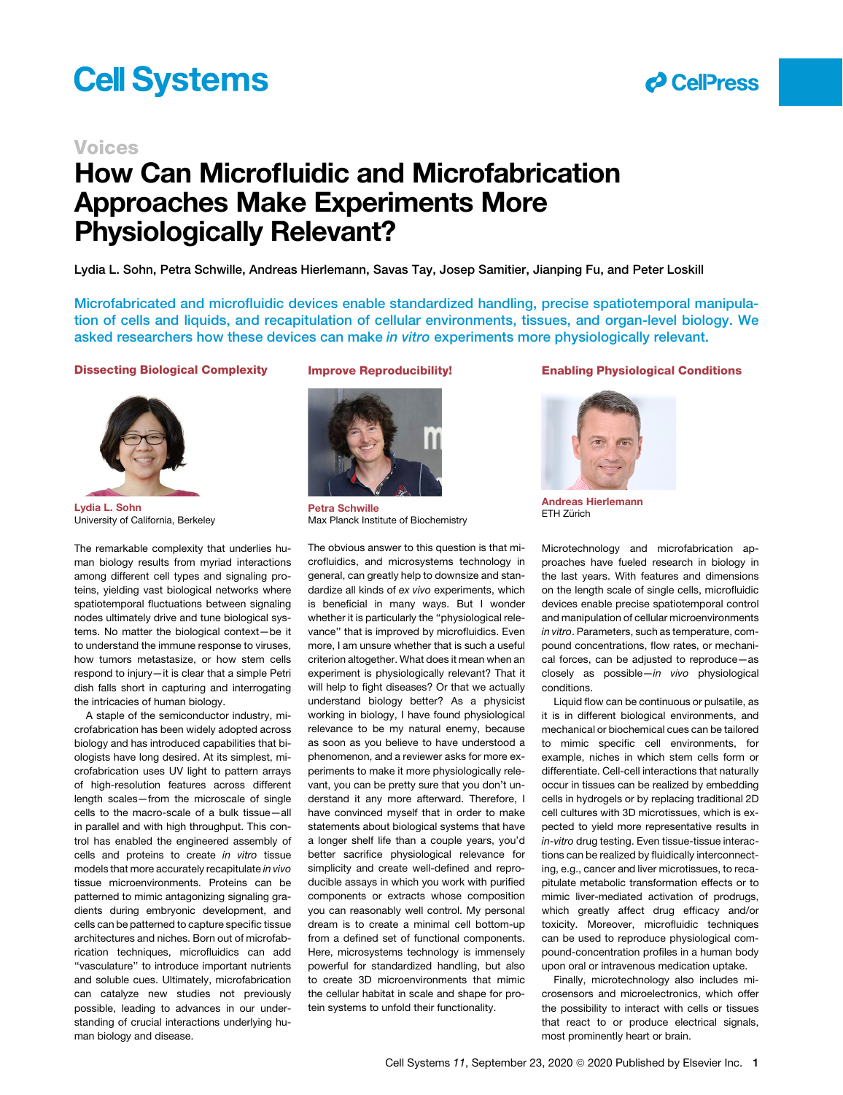# **Cell Systems**

### Voices

## How Can Microfluidic and Microfabrication Approaches Make Experiments More Physiologically Relevant?

Lydia L. Sohn, Petra Schwille, Andreas Hierlemann, Savas Tay, Josep Samitier, Jianping Fu, and Peter Loskill

Microfabricated and microfluidic devices enable standardized handling, precise spatiotemporal manipulation of cells and liquids, and recapitulation of cellular environments, tissues, and organ-level biology. We asked researchers how these devices can make in vitro experiments more physiologically relevant.

#### Dissecting Biological Complexity



Lydia L. Sohn University of California, Berkeley

The remarkable complexity that underlies human biology results from myriad interactions among different cell types and signaling proteins, yielding vast biological networks where spatiotemporal fluctuations between signaling nodes ultimately drive and tune biological systems. No matter the biological context—be it to understand the immune response to viruses, how tumors metastasize, or how stem cells respond to injury—it is clear that a simple Petri dish falls short in capturing and interrogating the intricacies of human biology.

A staple of the semiconductor industry, microfabrication has been widely adopted across biology and has introduced capabilities that biologists have long desired. At its simplest, microfabrication uses UV light to pattern arrays of high-resolution features across different length scales—from the microscale of single cells to the macro-scale of a bulk tissue—all in parallel and with high throughput. This control has enabled the engineered assembly of cells and proteins to create *in vitro* tissue models that more accurately recapitulate *in vivo* tissue microenvironments. Proteins can be patterned to mimic antagonizing signaling gradients during embryonic development, and cells can be patterned to capture specific tissue architectures and niches. Born out of microfabrication techniques, microfluidics can add ''vasculature'' to introduce important nutrients and soluble cues. Ultimately, microfabrication can catalyze new studies not previously possible, leading to advances in our understanding of crucial interactions underlying human biology and disease.

#### Improve Reproducibility!



Petra Schwille Max Planck Institute of Biochemistry

The obvious answer to this question is that microfluidics, and microsystems technology in general, can greatly help to downsize and standardize all kinds of *ex vivo* experiments, which is beneficial in many ways. But I wonder whether it is particularly the ''physiological relevance'' that is improved by microfluidics. Even more, I am unsure whether that is such a useful criterion altogether. What does it mean when an experiment is physiologically relevant? That it will help to fight diseases? Or that we actually understand biology better? As a physicist working in biology, I have found physiological relevance to be my natural enemy, because as soon as you believe to have understood a phenomenon, and a reviewer asks for more experiments to make it more physiologically relevant, you can be pretty sure that you don't understand it any more afterward. Therefore, I have convinced myself that in order to make statements about biological systems that have a longer shelf life than a couple years, you'd better sacrifice physiological relevance for simplicity and create well-defined and reproducible assays in which you work with purified components or extracts whose composition you can reasonably well control. My personal dream is to create a minimal cell bottom-up from a defined set of functional components. Here, microsystems technology is immensely powerful for standardized handling, but also to create 3D microenvironments that mimic the cellular habitat in scale and shape for protein systems to unfold their functionality.

#### Enabling Physiological Conditions

*d* CellPress



Andreas Hierlemann ETH Zürich

Microtechnology and microfabrication approaches have fueled research in biology in the last years. With features and dimensions on the length scale of single cells, microfluidic devices enable precise spatiotemporal control and manipulation of cellular microenvironments *in vitro*. Parameters, such as temperature, compound concentrations, flow rates, or mechanical forces, can be adjusted to reproduce—as closely as possible—*in vivo* physiological conditions.

Liquid flow can be continuous or pulsatile, as it is in different biological environments, and mechanical or biochemical cues can be tailored to mimic specific cell environments, for example, niches in which stem cells form or differentiate. Cell-cell interactions that naturally occur in tissues can be realized by embedding cells in hydrogels or by replacing traditional 2D cell cultures with 3D microtissues, which is expected to yield more representative results in *in-vitro* drug testing. Even tissue-tissue interactions can be realized by fluidically interconnecting, e.g., cancer and liver microtissues, to recapitulate metabolic transformation effects or to mimic liver-mediated activation of prodrugs, which greatly affect drug efficacy and/or toxicity. Moreover, microfluidic techniques can be used to reproduce physiological compound-concentration profiles in a human body upon oral or intravenous medication uptake.

Finally, microtechnology also includes microsensors and microelectronics, which offer the possibility to interact with cells or tissues that react to or produce electrical signals, most prominently heart or brain.

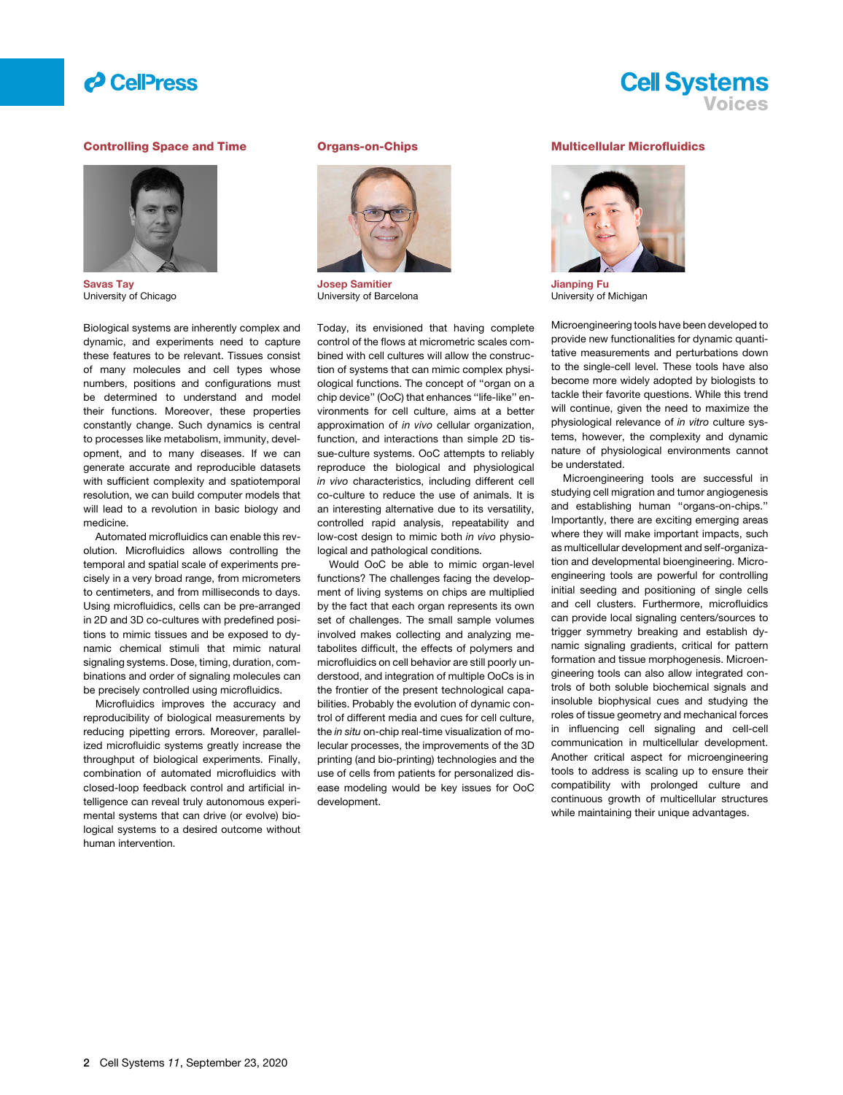

#### Controlling Space and Time



Savas Tay University of Chicago

Biological systems are inherently complex and dynamic, and experiments need to capture these features to be relevant. Tissues consist of many molecules and cell types whose numbers, positions and configurations must be determined to understand and model their functions. Moreover, these properties constantly change. Such dynamics is central to processes like metabolism, immunity, development, and to many diseases. If we can generate accurate and reproducible datasets with sufficient complexity and spatiotemporal resolution, we can build computer models that will lead to a revolution in basic biology and medicine.

Automated microfluidics can enable this revolution. Microfluidics allows controlling the temporal and spatial scale of experiments precisely in a very broad range, from micrometers to centimeters, and from milliseconds to days. Using microfluidics, cells can be pre-arranged in 2D and 3D co-cultures with predefined positions to mimic tissues and be exposed to dynamic chemical stimuli that mimic natural signaling systems. Dose, timing, duration, combinations and order of signaling molecules can be precisely controlled using microfluidics.

Microfluidics improves the accuracy and reproducibility of biological measurements by reducing pipetting errors. Moreover, parallelized microfluidic systems greatly increase the throughput of biological experiments. Finally, combination of automated microfluidics with closed-loop feedback control and artificial intelligence can reveal truly autonomous experimental systems that can drive (or evolve) biological systems to a desired outcome without human intervention.

#### Organs-on-Chips



Josep Samitier University of Barcelona

Today, its envisioned that having complete control of the flows at micrometric scales combined with cell cultures will allow the construction of systems that can mimic complex physiological functions. The concept of ''organ on a chip device'' (OoC) that enhances ''life-like'' environments for cell culture, aims at a better approximation of *in vivo* cellular organization, function, and interactions than simple 2D tissue-culture systems. OoC attempts to reliably reproduce the biological and physiological *in vivo* characteristics, including different cell co-culture to reduce the use of animals. It is an interesting alternative due to its versatility, controlled rapid analysis, repeatability and low-cost design to mimic both *in vivo* physiological and pathological conditions.

Would OoC be able to mimic organ-level functions? The challenges facing the development of living systems on chips are multiplied by the fact that each organ represents its own set of challenges. The small sample volumes involved makes collecting and analyzing metabolites difficult, the effects of polymers and microfluidics on cell behavior are still poorly understood, and integration of multiple OoCs is in the frontier of the present technological capabilities. Probably the evolution of dynamic control of different media and cues for cell culture, the *in situ* on-chip real-time visualization of molecular processes, the improvements of the 3D printing (and bio-printing) technologies and the use of cells from patients for personalized disease modeling would be key issues for OoC development.

#### Multicellular Microfluidics

Voices

**Cell Systems** 



Jianping Fu University of Michigan

Microengineering tools have been developed to provide new functionalities for dynamic quantitative measurements and perturbations down to the single-cell level. These tools have also become more widely adopted by biologists to tackle their favorite questions. While this trend will continue, given the need to maximize the physiological relevance of *in vitro* culture systems, however, the complexity and dynamic nature of physiological environments cannot be understated.

Microengineering tools are successful in studying cell migration and tumor angiogenesis and establishing human ''organs-on-chips.'' Importantly, there are exciting emerging areas where they will make important impacts, such as multicellular development and self-organization and developmental bioengineering. Microengineering tools are powerful for controlling initial seeding and positioning of single cells and cell clusters. Furthermore, microfluidics can provide local signaling centers/sources to trigger symmetry breaking and establish dynamic signaling gradients, critical for pattern formation and tissue morphogenesis. Microengineering tools can also allow integrated controls of both soluble biochemical signals and insoluble biophysical cues and studying the roles of tissue geometry and mechanical forces in influencing cell signaling and cell-cell communication in multicellular development. Another critical aspect for microengineering tools to address is scaling up to ensure their compatibility with prolonged culture and continuous growth of multicellular structures while maintaining their unique advantages.